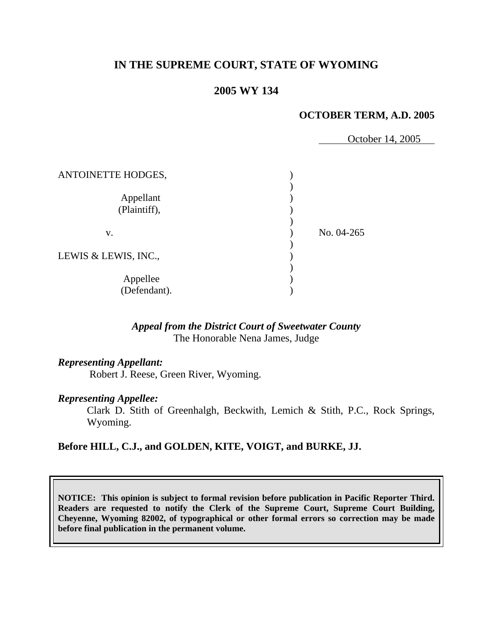# **IN THE SUPREME COURT, STATE OF WYOMING**

# **2005 WY 134**

#### **OCTOBER TERM, A.D. 2005**

October 14, 2005

| ANTOINETTE HODGES,        |            |
|---------------------------|------------|
| Appellant<br>(Plaintiff), |            |
| v.                        | No. 04-265 |
| LEWIS & LEWIS, INC.,      |            |
| Appellee<br>(Defendant).  |            |

## *Appeal from the District Court of Sweetwater County* The Honorable Nena James, Judge

## *Representing Appellant:*

Robert J. Reese, Green River, Wyoming.

#### *Representing Appellee:*

 Clark D. Stith of Greenhalgh, Beckwith, Lemich & Stith, P.C., Rock Springs, Wyoming.

## **Before HILL, C.J., and GOLDEN, KITE, VOIGT, and BURKE, JJ.**

**NOTICE: This opinion is subject to formal revision before publication in Pacific Reporter Third. Readers are requested to notify the Clerk of the Supreme Court, Supreme Court Building, Cheyenne, Wyoming 82002, of typographical or other formal errors so correction may be made before final publication in the permanent volume.**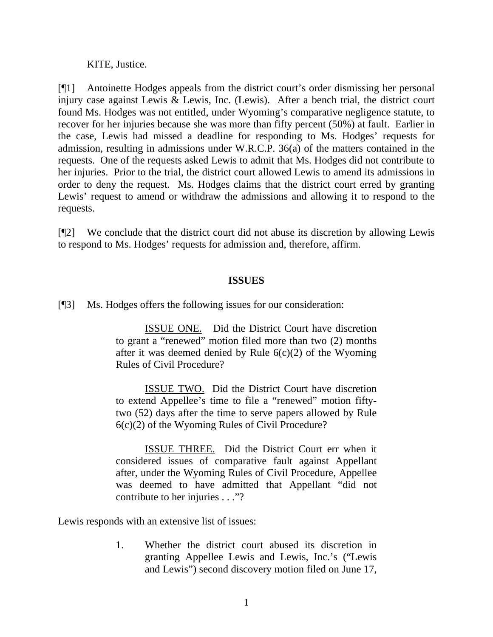KITE, Justice.

[¶1] Antoinette Hodges appeals from the district court's order dismissing her personal injury case against Lewis & Lewis, Inc. (Lewis). After a bench trial, the district court found Ms. Hodges was not entitled, under Wyoming's comparative negligence statute, to recover for her injuries because she was more than fifty percent (50%) at fault. Earlier in the case, Lewis had missed a deadline for responding to Ms. Hodges' requests for admission, resulting in admissions under W.R.C.P. 36(a) of the matters contained in the requests. One of the requests asked Lewis to admit that Ms. Hodges did not contribute to her injuries. Prior to the trial, the district court allowed Lewis to amend its admissions in order to deny the request. Ms. Hodges claims that the district court erred by granting Lewis' request to amend or withdraw the admissions and allowing it to respond to the requests.

[¶2] We conclude that the district court did not abuse its discretion by allowing Lewis to respond to Ms. Hodges' requests for admission and, therefore, affirm.

## **ISSUES**

[¶3] Ms. Hodges offers the following issues for our consideration:

ISSUE ONE. Did the District Court have discretion to grant a "renewed" motion filed more than two (2) months after it was deemed denied by Rule  $6(c)(2)$  of the Wyoming Rules of Civil Procedure?

ISSUE TWO. Did the District Court have discretion to extend Appellee's time to file a "renewed" motion fiftytwo (52) days after the time to serve papers allowed by Rule 6(c)(2) of the Wyoming Rules of Civil Procedure?

ISSUE THREE. Did the District Court err when it considered issues of comparative fault against Appellant after, under the Wyoming Rules of Civil Procedure, Appellee was deemed to have admitted that Appellant "did not contribute to her injuries . . ."?

Lewis responds with an extensive list of issues:

1. Whether the district court abused its discretion in granting Appellee Lewis and Lewis, Inc.'s ("Lewis and Lewis") second discovery motion filed on June 17,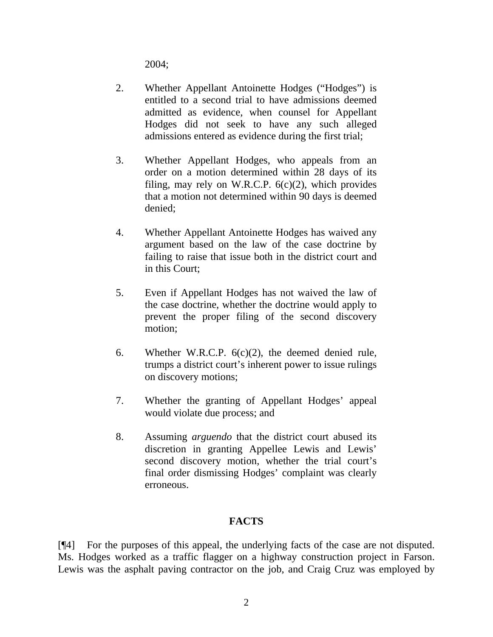2004;

- 2. Whether Appellant Antoinette Hodges ("Hodges") is entitled to a second trial to have admissions deemed admitted as evidence, when counsel for Appellant Hodges did not seek to have any such alleged admissions entered as evidence during the first trial;
- 3. Whether Appellant Hodges, who appeals from an order on a motion determined within 28 days of its filing, may rely on W.R.C.P.  $6(c)(2)$ , which provides that a motion not determined within 90 days is deemed denied;
- 4. Whether Appellant Antoinette Hodges has waived any argument based on the law of the case doctrine by failing to raise that issue both in the district court and in this Court;
- 5. Even if Appellant Hodges has not waived the law of the case doctrine, whether the doctrine would apply to prevent the proper filing of the second discovery motion;
- 6. Whether W.R.C.P.  $6(c)(2)$ , the deemed denied rule, trumps a district court's inherent power to issue rulings on discovery motions;
- 7. Whether the granting of Appellant Hodges' appeal would violate due process; and
- 8. Assuming *arguendo* that the district court abused its discretion in granting Appellee Lewis and Lewis' second discovery motion, whether the trial court's final order dismissing Hodges' complaint was clearly erroneous.

# **FACTS**

[¶4] For the purposes of this appeal, the underlying facts of the case are not disputed. Ms. Hodges worked as a traffic flagger on a highway construction project in Farson. Lewis was the asphalt paving contractor on the job, and Craig Cruz was employed by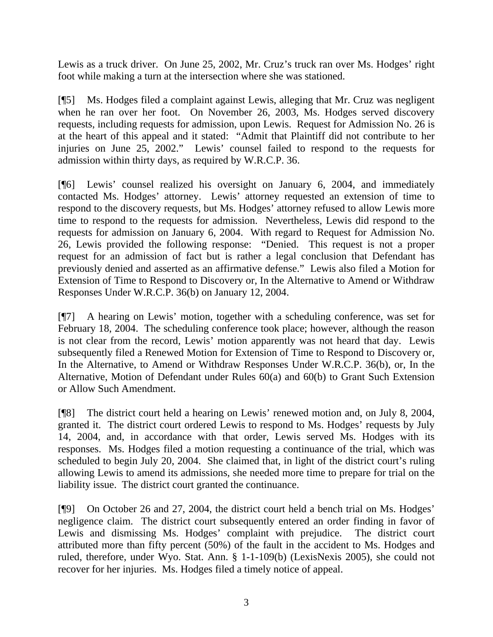Lewis as a truck driver. On June 25, 2002, Mr. Cruz's truck ran over Ms. Hodges' right foot while making a turn at the intersection where she was stationed.

[¶5] Ms. Hodges filed a complaint against Lewis, alleging that Mr. Cruz was negligent when he ran over her foot. On November 26, 2003, Ms. Hodges served discovery requests, including requests for admission, upon Lewis. Request for Admission No. 26 is at the heart of this appeal and it stated: "Admit that Plaintiff did not contribute to her injuries on June 25, 2002." Lewis' counsel failed to respond to the requests for admission within thirty days, as required by W.R.C.P. 36.

[¶6] Lewis' counsel realized his oversight on January 6, 2004, and immediately contacted Ms. Hodges' attorney. Lewis' attorney requested an extension of time to respond to the discovery requests, but Ms. Hodges' attorney refused to allow Lewis more time to respond to the requests for admission. Nevertheless, Lewis did respond to the requests for admission on January 6, 2004. With regard to Request for Admission No. 26, Lewis provided the following response: "Denied. This request is not a proper request for an admission of fact but is rather a legal conclusion that Defendant has previously denied and asserted as an affirmative defense." Lewis also filed a Motion for Extension of Time to Respond to Discovery or, In the Alternative to Amend or Withdraw Responses Under W.R.C.P. 36(b) on January 12, 2004.

[¶7] A hearing on Lewis' motion, together with a scheduling conference, was set for February 18, 2004. The scheduling conference took place; however, although the reason is not clear from the record, Lewis' motion apparently was not heard that day. Lewis subsequently filed a Renewed Motion for Extension of Time to Respond to Discovery or, In the Alternative, to Amend or Withdraw Responses Under W.R.C.P. 36(b), or, In the Alternative, Motion of Defendant under Rules 60(a) and 60(b) to Grant Such Extension or Allow Such Amendment.

[¶8] The district court held a hearing on Lewis' renewed motion and, on July 8, 2004, granted it. The district court ordered Lewis to respond to Ms. Hodges' requests by July 14, 2004, and, in accordance with that order, Lewis served Ms. Hodges with its responses. Ms. Hodges filed a motion requesting a continuance of the trial, which was scheduled to begin July 20, 2004. She claimed that, in light of the district court's ruling allowing Lewis to amend its admissions, she needed more time to prepare for trial on the liability issue. The district court granted the continuance.

[¶9] On October 26 and 27, 2004, the district court held a bench trial on Ms. Hodges' negligence claim. The district court subsequently entered an order finding in favor of Lewis and dismissing Ms. Hodges' complaint with prejudice. The district court attributed more than fifty percent (50%) of the fault in the accident to Ms. Hodges and ruled, therefore, under Wyo. Stat. Ann. § 1-1-109(b) (LexisNexis 2005), she could not recover for her injuries. Ms. Hodges filed a timely notice of appeal.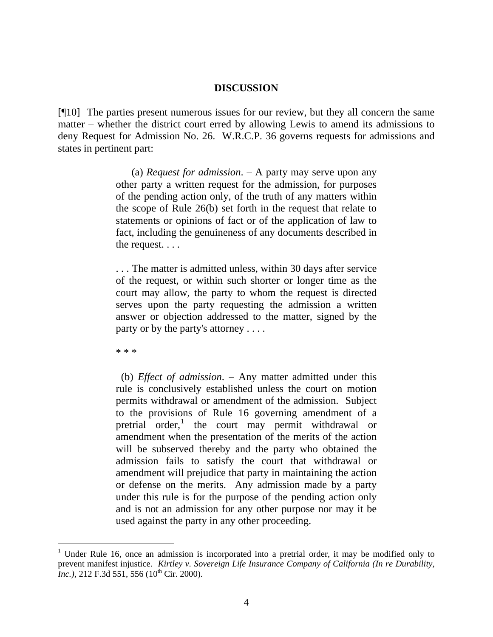#### **DISCUSSION**

[¶10] The parties present numerous issues for our review, but they all concern the same matter – whether the district court erred by allowing Lewis to amend its admissions to deny Request for Admission No. 26. W.R.C.P. 36 governs requests for admissions and states in pertinent part:

> (a) *Request for admission*. – A party may serve upon any other party a written request for the admission, for purposes of the pending action only, of the truth of any matters within the scope of Rule 26(b) set forth in the request that relate to statements or opinions of fact or of the application of law to fact, including the genuineness of any documents described in the request. . . .

> . . . The matter is admitted unless, within 30 days after service of the request, or within such shorter or longer time as the court may allow, the party to whom the request is directed serves upon the party requesting the admission a written answer or objection addressed to the matter, signed by the party or by the party's attorney . . . .

\* \* \*

 (b) *Effect of admission*. – Any matter admitted under this rule is conclusively established unless the court on motion permits withdrawal or amendment of the admission. Subject to the provisions of Rule 16 governing amendment of a pretrial order,<sup>[1](#page-5-0)</sup> the court may permit withdrawal or amendment when the presentation of the merits of the action will be subserved thereby and the party who obtained the admission fails to satisfy the court that withdrawal or amendment will prejudice that party in maintaining the action or defense on the merits. Any admission made by a party under this rule is for the purpose of the pending action only and is not an admission for any other purpose nor may it be used against the party in any other proceeding.

<span id="page-5-0"></span><sup>1</sup> Under Rule 16, once an admission is incorporated into a pretrial order, it may be modified only to prevent manifest injustice. *Kirtley v. Sovereign Life Insurance Company of California (In re Durability, Inc.*), 212 F.3d 551, 556 (10<sup>th</sup> Cir. 2000).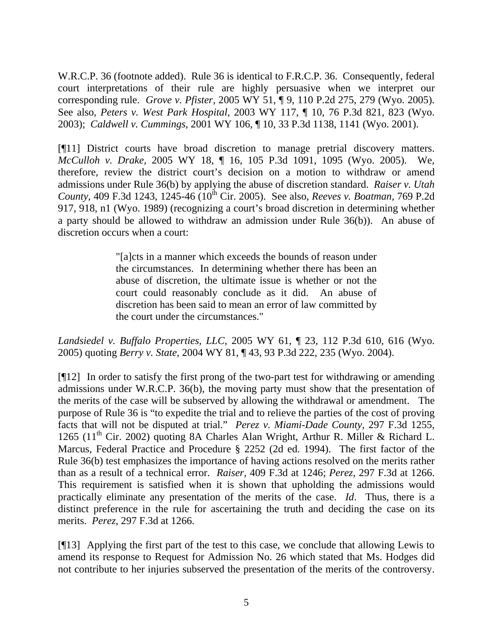W.R.C.P. 36 (footnote added). Rule 36 is identical to F.R.C.P. 36. Consequently, federal court interpretations of their rule are highly persuasive when we interpret our corresponding rule. *Grove v. Pfister,* 2005 WY 51, ¶ 9, 110 P.2d 275, 279 (Wyo. 2005). See also, *Peters v. West Park Hospital,* 2003 WY 117, ¶ 10, 76 P.3d 821, 823 (Wyo. 2003); *Caldwell v. Cummings*, 2001 WY 106, ¶ 10, 33 P.3d 1138, 1141 (Wyo. 2001).

[¶11] District courts have broad discretion to manage pretrial discovery matters. *McCulloh v. Drake,* 2005 WY 18, ¶ 16, 105 P.3d 1091, 1095 (Wyo. 2005). We, therefore, review the district court's decision on a motion to withdraw or amend admissions under Rule 36(b) by applying the abuse of discretion standard. *Raiser v. Utah County, 409 F.3d 1243, 1245-46 (10<sup>th</sup> Cir. 2005). See also, <i>Reeves v. Boatman, 769 P.2d* 917, 918, n1 (Wyo. 1989) (recognizing a court's broad discretion in determining whether a party should be allowed to withdraw an admission under Rule 36(b)). An abuse of discretion occurs when a court:

> "[a]cts in a manner which exceeds the bounds of reason under the circumstances. In determining whether there has been an abuse of discretion, the ultimate issue is whether or not the court could reasonably conclude as it did. An abuse of discretion has been said to mean an error of law committed by the court under the circumstances."

*Landsiedel v. Buffalo Properties, LLC,* 2005 WY 61, ¶ 23, 112 P.3d 610, 616 (Wyo. 2005) quoting *Berry v. State*, 2004 WY 81, ¶ 43, 93 P.3d 222, 235 (Wyo. 2004).

[¶12] In order to satisfy the first prong of the two-part test for withdrawing or amending admissions under W.R.C.P. 36(b), the moving party must show that the presentation of the merits of the case will be subserved by allowing the withdrawal or amendment. The purpose of Rule 36 is "to expedite the trial and to relieve the parties of the cost of proving facts that will not be disputed at trial." *Perez v. Miami-Dade County,* 297 F.3d 1255, 1265 (11<sup>th</sup> Cir. 2002) quoting 8A Charles Alan Wright, Arthur R. Miller & Richard L. Marcus, Federal Practice and Procedure § 2252 (2d ed. 1994). The first factor of the Rule 36(b) test emphasizes the importance of having actions resolved on the merits rather than as a result of a technical error. *Raiser,* 409 F.3d at 1246; *Perez,* 297 F.3d at 1266. This requirement is satisfied when it is shown that upholding the admissions would practically eliminate any presentation of the merits of the case. *Id*. Thus, there is a distinct preference in the rule for ascertaining the truth and deciding the case on its merits. *Perez,* 297 F.3d at 1266.

[¶13] Applying the first part of the test to this case, we conclude that allowing Lewis to amend its response to Request for Admission No. 26 which stated that Ms. Hodges did not contribute to her injuries subserved the presentation of the merits of the controversy.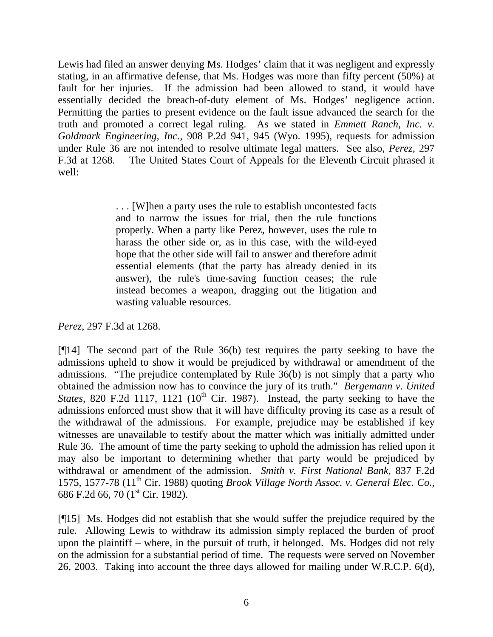Lewis had filed an answer denying Ms. Hodges' claim that it was negligent and expressly stating, in an affirmative defense, that Ms. Hodges was more than fifty percent (50%) at fault for her injuries. If the admission had been allowed to stand, it would have essentially decided the breach-of-duty element of Ms. Hodges' negligence action. Permitting the parties to present evidence on the fault issue advanced the search for the truth and promoted a correct legal ruling. As we stated in *Emmett Ranch, Inc. v. Goldmark Engineering, Inc.,* 908 P.2d 941, 945 (Wyo. 1995), requests for admission under Rule 36 are not intended to resolve ultimate legal matters. See also, *Perez,* 297 F.3d at 1268. The United States Court of Appeals for the Eleventh Circuit phrased it well:

> . . . [W]hen a party uses the rule to establish uncontested facts and to narrow the issues for trial, then the rule functions properly. When a party like Perez, however, uses the rule to harass the other side or, as in this case, with the wild-eyed hope that the other side will fail to answer and therefore admit essential elements (that the party has already denied in its answer), the rule's time-saving function ceases; the rule instead becomes a weapon, dragging out the litigation and wasting valuable resources.

## *Perez*, 297 F.3d at 1268.

[¶14] The second part of the Rule 36(b) test requires the party seeking to have the admissions upheld to show it would be prejudiced by withdrawal or amendment of the admissions. "The prejudice contemplated by Rule 36(b) is not simply that a party who obtained the admission now has to convince the jury of its truth." *Bergemann v. United States, 820 F.2d 1117, 1121* ( $10<sup>th</sup>$  Cir. 1987). Instead, the party seeking to have the admissions enforced must show that it will have difficulty proving its case as a result of the withdrawal of the admissions. For example, prejudice may be established if key witnesses are unavailable to testify about the matter which was initially admitted under Rule 36. The amount of time the party seeking to uphold the admission has relied upon it may also be important to determining whether that party would be prejudiced by withdrawal or amendment of the admission. *Smith v. First National Bank,* 837 F.2d 1575, 1577-78 (11th Cir. 1988) quoting *Brook Village North Assoc. v. General Elec. Co.,* 686 F.2d 66, 70 (1<sup>st</sup> Cir. 1982).

[¶15] Ms. Hodges did not establish that she would suffer the prejudice required by the rule. Allowing Lewis to withdraw its admission simply replaced the burden of proof upon the plaintiff – where, in the pursuit of truth, it belonged. Ms. Hodges did not rely on the admission for a substantial period of time. The requests were served on November 26, 2003. Taking into account the three days allowed for mailing under W.R.C.P. 6(d),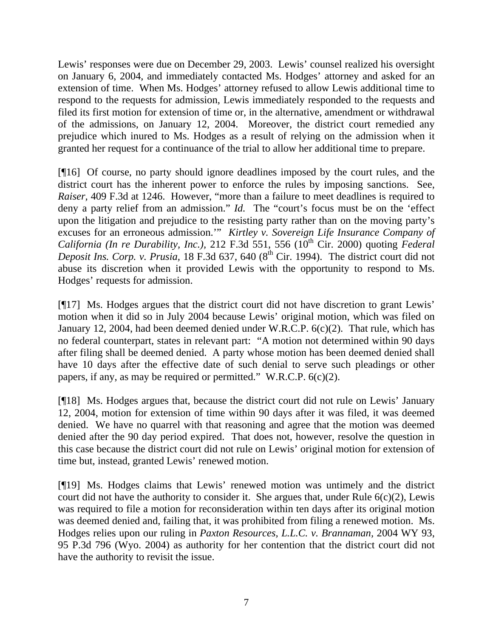Lewis' responses were due on December 29, 2003. Lewis' counsel realized his oversight on January 6, 2004, and immediately contacted Ms. Hodges' attorney and asked for an extension of time. When Ms. Hodges' attorney refused to allow Lewis additional time to respond to the requests for admission, Lewis immediately responded to the requests and filed its first motion for extension of time or, in the alternative, amendment or withdrawal of the admissions, on January 12, 2004. Moreover, the district court remedied any prejudice which inured to Ms. Hodges as a result of relying on the admission when it granted her request for a continuance of the trial to allow her additional time to prepare.

[¶16] Of course, no party should ignore deadlines imposed by the court rules, and the district court has the inherent power to enforce the rules by imposing sanctions. See, *Raiser,* 409 F.3d at 1246. However, "more than a failure to meet deadlines is required to deny a party relief from an admission." *Id.* The "court's focus must be on the 'effect upon the litigation and prejudice to the resisting party rather than on the moving party's excuses for an erroneous admission.'" *Kirtley v. Sovereign Life Insurance Company of California (In re Durability, Inc.),* 212 F.3d 551, 556 (10<sup>th</sup> Cir. 2000) quoting *Federal Deposit Ins. Corp. v. Prusia,* 18 F.3d 637, 640 (8<sup>th</sup> Cir. 1994). The district court did not abuse its discretion when it provided Lewis with the opportunity to respond to Ms. Hodges' requests for admission.

[¶17] Ms. Hodges argues that the district court did not have discretion to grant Lewis' motion when it did so in July 2004 because Lewis' original motion, which was filed on January 12, 2004, had been deemed denied under W.R.C.P. 6(c)(2). That rule, which has no federal counterpart, states in relevant part: "A motion not determined within 90 days after filing shall be deemed denied. A party whose motion has been deemed denied shall have 10 days after the effective date of such denial to serve such pleadings or other papers, if any, as may be required or permitted." W.R.C.P. 6(c)(2).

[¶18] Ms. Hodges argues that, because the district court did not rule on Lewis' January 12, 2004, motion for extension of time within 90 days after it was filed, it was deemed denied. We have no quarrel with that reasoning and agree that the motion was deemed denied after the 90 day period expired. That does not, however, resolve the question in this case because the district court did not rule on Lewis' original motion for extension of time but, instead, granted Lewis' renewed motion.

[¶19] Ms. Hodges claims that Lewis' renewed motion was untimely and the district court did not have the authority to consider it. She argues that, under Rule  $6(c)(2)$ , Lewis was required to file a motion for reconsideration within ten days after its original motion was deemed denied and, failing that, it was prohibited from filing a renewed motion. Ms. Hodges relies upon our ruling in *Paxton Resources, L.L.C. v. Brannaman,* 2004 WY 93, 95 P.3d 796 (Wyo. 2004) as authority for her contention that the district court did not have the authority to revisit the issue.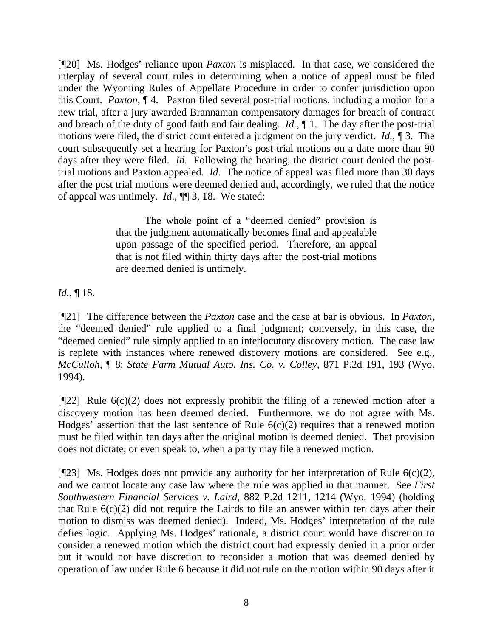[¶20] Ms. Hodges' reliance upon *Paxton* is misplaced. In that case, we considered the interplay of several court rules in determining when a notice of appeal must be filed under the Wyoming Rules of Appellate Procedure in order to confer jurisdiction upon this Court. *Paxton*, ¶ 4. Paxton filed several post-trial motions, including a motion for a new trial, after a jury awarded Brannaman compensatory damages for breach of contract and breach of the duty of good faith and fair dealing. *Id.,* ¶ 1. The day after the post-trial motions were filed, the district court entered a judgment on the jury verdict. *Id.*, ¶ 3. The court subsequently set a hearing for Paxton's post-trial motions on a date more than 90 days after they were filed. *Id.* Following the hearing, the district court denied the posttrial motions and Paxton appealed. *Id.* The notice of appeal was filed more than 30 days after the post trial motions were deemed denied and, accordingly, we ruled that the notice of appeal was untimely. *Id*., ¶¶ 3, 18. We stated:

> The whole point of a "deemed denied" provision is that the judgment automatically becomes final and appealable upon passage of the specified period. Therefore, an appeal that is not filed within thirty days after the post-trial motions are deemed denied is untimely.

*Id.*, ¶ 18.

[¶21] The difference between the *Paxton* case and the case at bar is obvious. In *Paxton,*  the "deemed denied" rule applied to a final judgment; conversely, in this case, the "deemed denied" rule simply applied to an interlocutory discovery motion. The case law is replete with instances where renewed discovery motions are considered. See e.g., *McCulloh,* ¶ 8; *State Farm Mutual Auto. Ins. Co. v. Colley,* 871 P.2d 191, 193 (Wyo. 1994).

 $[\P{22}]$  Rule 6(c)(2) does not expressly prohibit the filing of a renewed motion after a discovery motion has been deemed denied. Furthermore, we do not agree with Ms. Hodges' assertion that the last sentence of Rule  $6(c)(2)$  requires that a renewed motion must be filed within ten days after the original motion is deemed denied. That provision does not dictate, or even speak to, when a party may file a renewed motion.

[ $[$ [23] Ms. Hodges does not provide any authority for her interpretation of Rule 6(c)(2), and we cannot locate any case law where the rule was applied in that manner. See *First Southwestern Financial Services v. Laird,* 882 P.2d 1211, 1214 (Wyo. 1994) (holding that Rule  $6(c)(2)$  did not require the Lairds to file an answer within ten days after their motion to dismiss was deemed denied). Indeed, Ms. Hodges' interpretation of the rule defies logic. Applying Ms. Hodges' rationale, a district court would have discretion to consider a renewed motion which the district court had expressly denied in a prior order but it would not have discretion to reconsider a motion that was deemed denied by operation of law under Rule 6 because it did not rule on the motion within 90 days after it